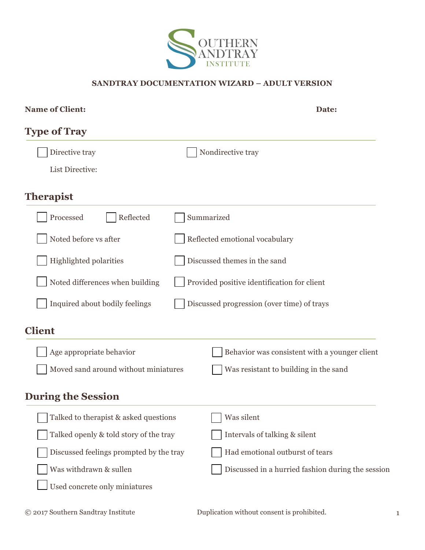

### **SANDTRAY DOCUMENTATION WIZARD – ADULT VERSION**

| Name of Client:                         | Date:                                             |
|-----------------------------------------|---------------------------------------------------|
| <b>Type of Tray</b>                     |                                                   |
| Directive tray                          | Nondirective tray                                 |
| List Directive:                         |                                                   |
| <b>Therapist</b>                        |                                                   |
| Processed<br>Reflected                  | Summarized                                        |
| Noted before vs after                   | Reflected emotional vocabulary                    |
| <b>Highlighted polarities</b>           | Discussed themes in the sand                      |
| Noted differences when building         | Provided positive identification for client       |
| Inquired about bodily feelings          | Discussed progression (over time) of trays        |
| <b>Client</b>                           |                                                   |
| Age appropriate behavior                | Behavior was consistent with a younger client     |
| Moved sand around without miniatures    | Was resistant to building in the sand             |
| <b>During the Session</b>               |                                                   |
| Talked to therapist & asked questions   | Was silent                                        |
| Talked openly & told story of the tray  | Intervals of talking & silent                     |
| Discussed feelings prompted by the tray | Had emotional outburst of tears                   |
| Was withdrawn & sullen                  | Discussed in a hurried fashion during the session |
| Used concrete only miniatures           |                                                   |
|                                         |                                                   |

© 2017 Southern Sandtray Institute Duplication without consent is prohibited. 1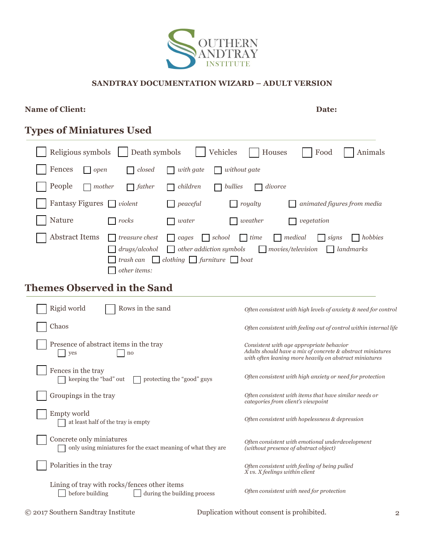

#### **SANDTRAY DOCUMENTATION WIZARD – ADULT VERSION**

### **Name of Client: Date:**

# **Types of Miniatures Used**

| Religious symbols   Death symbols   Vehicles<br>  Houses<br>Food<br>Animals                                    |
|----------------------------------------------------------------------------------------------------------------|
| Fences<br>$\Box$ with gate<br>closed<br>$\Box$ without gate<br>$\log$ open                                     |
| People<br>$\Box$ children<br>$\Box$ mother<br>$\Box$ father<br>$\Box$ bullies<br>divorce<br>$\mathbf{L}$       |
| Fantasy Figures $\Box$ violent<br>$\Box$ royalty<br>$\Box$ peaceful<br>animated figures from media             |
| Nature<br>$\Box$ weather<br>$\vert$ rocks<br>$\Box$ vegetation<br>$\Box$ water                                 |
| Abstract Items $\Box$ treasure chest $\Box$ cages $\Box$ school $\Box$ time<br>  medical<br>  hobbies<br>signs |
| $\Box$ drugs/alcohol $\Box$ other addiction symbols $\Box$ movies/television $\Box$ landmarks                  |
| $\Box$ trash can $\Box$ clothing $\Box$ furniture $\Box$ boat                                                  |
| other items:                                                                                                   |

# **Themes Observed in the Sand**

| Rigid world<br>Rows in the sand                                                                | Often consistent with high levels of anxiety & need for control                                                                                                  |
|------------------------------------------------------------------------------------------------|------------------------------------------------------------------------------------------------------------------------------------------------------------------|
| Chaos                                                                                          | Often consistent with feeling out of control within internal life                                                                                                |
| Presence of abstract items in the tray<br>yes<br>no                                            | Consistent with age appropriate behavior<br>Adults should have a mix of concrete & abstract miniatures<br>with often leaning more heavily on abstract miniatures |
| Fences in the tray<br>keeping the "bad" out<br>protecting the "good" guys                      | Often consistent with high anxiety or need for protection                                                                                                        |
| Groupings in the tray                                                                          | Often consistent with items that have similar needs or<br>categories from client's viewpoint                                                                     |
| Empty world<br>at least half of the tray is empty                                              | Often consistent with hopelessness & depression                                                                                                                  |
| Concrete only miniatures<br>only using miniatures for the exact meaning of what they are       | Often consistent with emotional underdevelopment<br>(without presence of abstract object)                                                                        |
| Polarities in the tray                                                                         | Often consistent with feeling of being pulled<br>X vs. X feelings within client                                                                                  |
| Lining of tray with rocks/fences other items<br>before building<br>during the building process | Often consistent with need for protection                                                                                                                        |

© 2017 Southern Sandtray Institute Duplication without consent is prohibited. 2